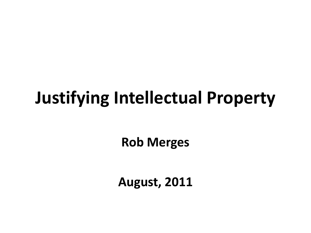### **Justifying Intellectual Property**

**Rob Merges**

**August, 2011**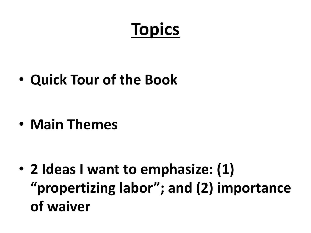# **Topics**

• **Quick Tour of the Book**

• **Main Themes**

• **2 Ideas I want to emphasize: (1) "propertizing labor"; and (2) importance of waiver**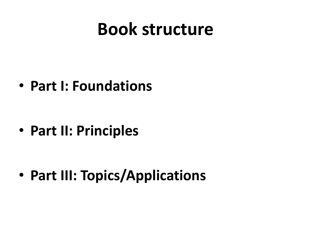#### **Book structure**

• **Part I: Foundations**

• **Part II: Principles**

• **Part III: Topics/Applications**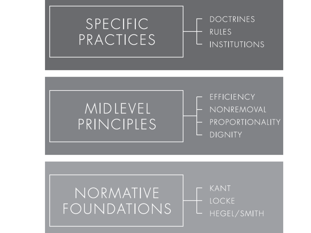

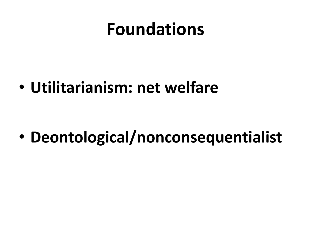#### **Foundations**

• **Utilitarianism: net welfare**

• **Deontological/nonconsequentialist**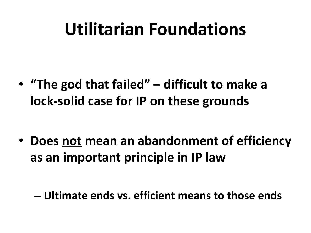### **Utilitarian Foundations**

• **"The god that failed" – difficult to make a lock-solid case for IP on these grounds**

• **Does not mean an abandonment of efficiency as an important principle in IP law**

– **Ultimate ends vs. efficient means to those ends**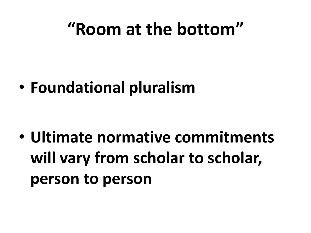### **"Room at the bottom"**

• **Foundational pluralism**

• **Ultimate normative commitments will vary from scholar to scholar, person to person**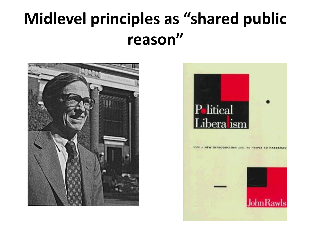#### **Midlevel principles as "shared public reason"**



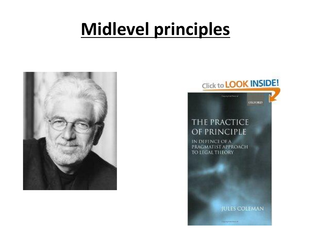# **Midlevel principles**





OXFORD

**Capsighted francial** 

#### THE PRACTICE OF PRINCIPLE

IN DEFENCE OF A PRAGMATIST APPROACH TO LEGAL THEORY

**JULES COLEMAN** 

*<u>Digit High And I Terrest</u>*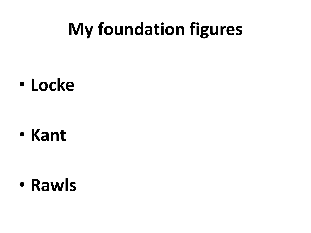# **My foundation figures**

• **Locke**

• **Kant**

• **Rawls**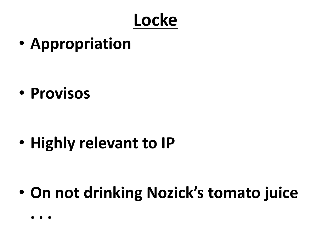#### **Locke**

• **Appropriation**

• **Provisos**

• **Highly relevant to IP**

• **On not drinking Nozick's tomato juice**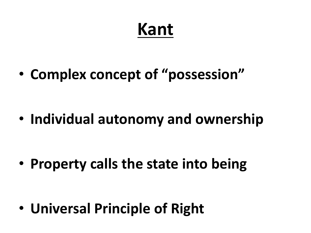## **Kant**

• **Complex concept of "possession"**

• **Individual autonomy and ownership**

• **Property calls the state into being**

• **Universal Principle of Right**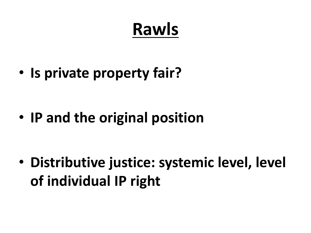# **Rawls**

• **Is private property fair?**

• **IP and the original position**

• **Distributive justice: systemic level, level of individual IP right**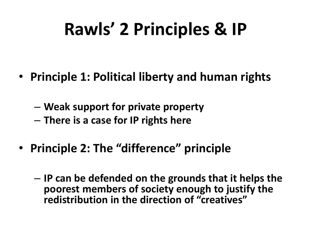# **Rawls' 2 Principles & IP**

- **Principle 1: Political liberty and human rights**
	- **Weak support for private property**
	- **There is a case for IP rights here**
- **Principle 2: The "difference" principle**
	- **IP can be defended on the grounds that it helps the poorest members of society enough to justify the redistribution in the direction of "creatives"**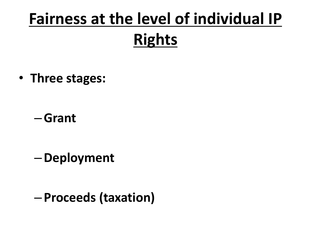# **Fairness at the level of individual IP Rights**

• **Three stages:** 

–**Grant**

–**Deployment**

– **Proceeds (taxation)**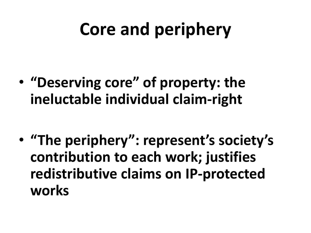# **Core and periphery**

• **"Deserving core" of property: the ineluctable individual claim-right**

• **"The periphery": represent's society's contribution to each work; justifies redistributive claims on IP-protected works**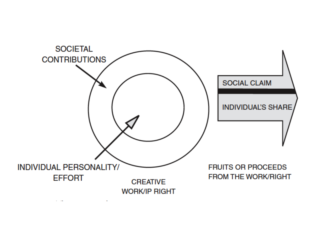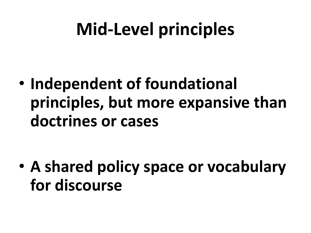# **Mid-Level principles**

• **Independent of foundational principles, but more expansive than doctrines or cases**

• **A shared policy space or vocabulary for discourse**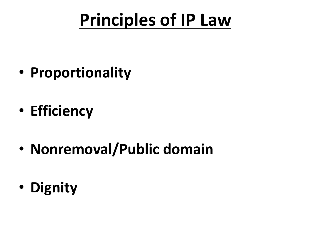# **Principles of IP Law**

- **Proportionality**
- **Efficiency**
- **Nonremoval/Public domain**
- **Dignity**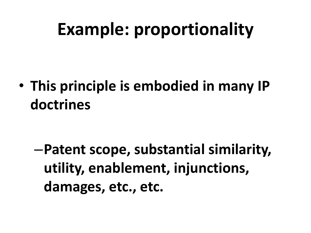## **Example: proportionality**

• **This principle is embodied in many IP doctrines**

–**Patent scope, substantial similarity, utility, enablement, injunctions, damages, etc., etc.**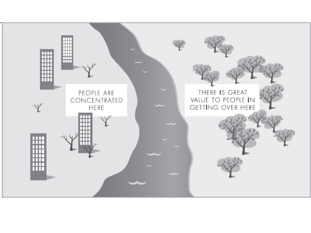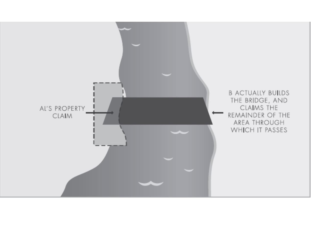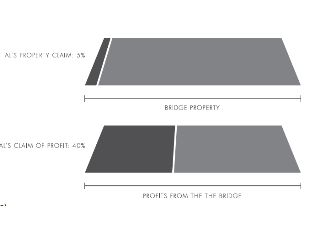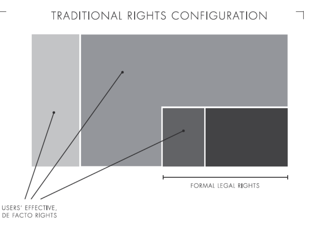#### TRADITIONAL RIGHTS CONFIGURATION



USERS' EFFECTIVE, DE FACTO RIGHTS